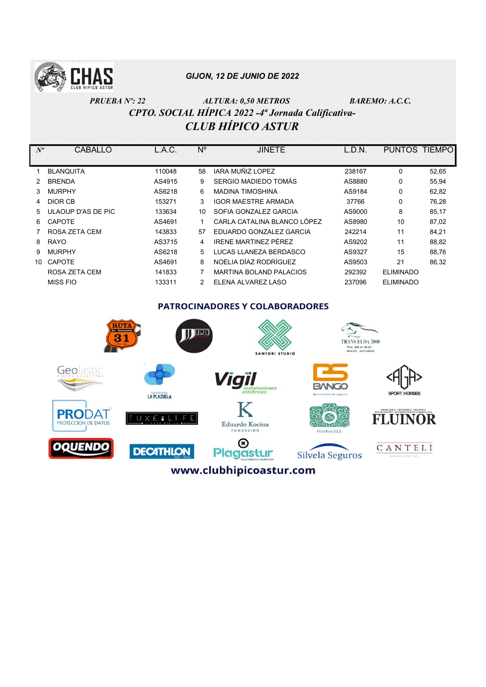

# PRUEBA Nº: 22 ALTURA: 0,50 METROS BAREMO: A.C.C. CPTO. SOCIAL HÍPICA 2022 -4ª Jornada Calificativa-CLUB HÍPICO ASTUR

| $N^o$ | CABALLO            | L.A.C. | N° | <b>JINETE</b>                  | L.D.N. | <b>PUNTOS</b>    | <b>TIEMPO</b> |
|-------|--------------------|--------|----|--------------------------------|--------|------------------|---------------|
|       |                    |        |    |                                |        |                  |               |
|       | <b>BLANQUITA</b>   | 110048 | 58 | IARA MUÑIZ LOPEZ               | 238167 | 0                | 52,65         |
|       | <b>BRENDA</b>      | AS4915 | 9  | SERGIO MADIEDO TOMÁS           | AS8880 | 0                | 55,94         |
| 3.    | <b>MURPHY</b>      | AS6218 | 6  | <b>MADINA TIMOSHINA</b>        | AS9184 | 0                | 62,82         |
| 4     | DIOR CB            | 153271 | 3  | <b>IGOR MAESTRE ARMADA</b>     | 37766  | 0                | 76.28         |
| 5.    | ULAOUP D'AS DE PIC | 133634 | 10 | SOFIA GONZALEZ GARCIA          | AS9000 | 8                | 85,17         |
| 6.    | <b>CAPOTE</b>      | AS4691 | 1  | CARLA CATALINA BLANCO LÓPEZ    | AS8980 | 10               | 87,02         |
|       | ROSA ZETA CEM      | 143833 | 57 | EDUARDO GONZALEZ GARCIA        | 242214 | 11               | 84,21         |
| 8     | <b>RAYO</b>        | AS3715 | 4  | IRENE MARTINEZ PÉREZ           | AS9202 | 11               | 88,82         |
| 9     | <b>MURPHY</b>      | AS6218 | 5  | LUCAS LLANEZA BERDASCO         | AS9327 | 15               | 88,76         |
| 10    | <b>CAPOTE</b>      | AS4691 | 8  | NOFLIA DÍAZ RODRÍGUEZ          | AS9503 | 21               | 86,32         |
|       | ROSA ZETA CEM      | 141833 |    | <b>MARTINA BOLAND PALACIOS</b> | 292392 | <b>ELIMINADO</b> |               |
|       | <b>MISS FIO</b>    | 133311 | 2  | ELENA ALVAREZ LASO             | 237096 | <b>ELIMINADO</b> |               |

**PATROCINADORES Y COLABORADORES** 

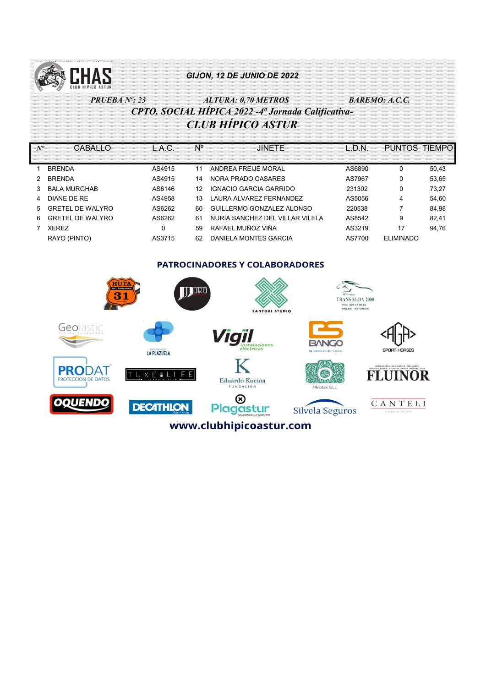

# PRUEBA Nº: 23 ALTURA: 0,70 METROS BAREMO: A.C.C. CPTO. SOCIAL HÍPICA 2022 -4ª Jornada Calificativa-CLUB HÍPICO ASTUR

| $N^o$ | CABALLO                               | L.A.C. | N° | <b>JINETE</b>                   | L.D.N. | PUNTOS TIEMPO    |       |  |  |  |
|-------|---------------------------------------|--------|----|---------------------------------|--------|------------------|-------|--|--|--|
|       | <b>BRENDA</b>                         | AS4915 | 11 | ANDREA FREIJE MORAL             | AS6890 | 0                | 50,43 |  |  |  |
|       | <b>BRENDA</b>                         | AS4915 | 14 | NORA PRADO CASARES              | AS7967 | 0                | 53,65 |  |  |  |
| 3     | <b>BALA MURGHAB</b>                   | AS6146 | 12 | <b>IGNACIO GARCIA GARRIDO</b>   | 231302 | 0                | 73,27 |  |  |  |
|       | DIANE DE RE                           | AS4958 | 13 | LAURA ALVAREZ FERNANDEZ         | AS5056 | 4                | 54,60 |  |  |  |
| 5     | <b>GRETEL DE WALYRO</b>               | AS6262 | 60 | GUILLERMO GONZALEZ ALONSO       | 220538 |                  | 84,98 |  |  |  |
| 6     | <b>GRETEL DE WALYRO</b>               | AS6262 | 61 | NURIA SANCHEZ DEL VILLAR VILELA | AS8542 | 9                | 82,41 |  |  |  |
|       | <b>XEREZ</b>                          | 0      | 59 | RAFAEL MUÑOZ VIÑA               | AS3219 | 17               | 94,76 |  |  |  |
|       | RAYO (PINTO)                          | AS3715 | 62 | DANIELA MONTES GARCIA           | AS7700 | <b>ELIMINADO</b> |       |  |  |  |
|       |                                       |        |    |                                 |        |                  |       |  |  |  |
|       | <b>PATROCINADORES Y COLABORADORES</b> |        |    |                                 |        |                  |       |  |  |  |
|       | $\overline{\phantom{a}}$              |        |    | $\sim$ $\sim$                   |        |                  |       |  |  |  |

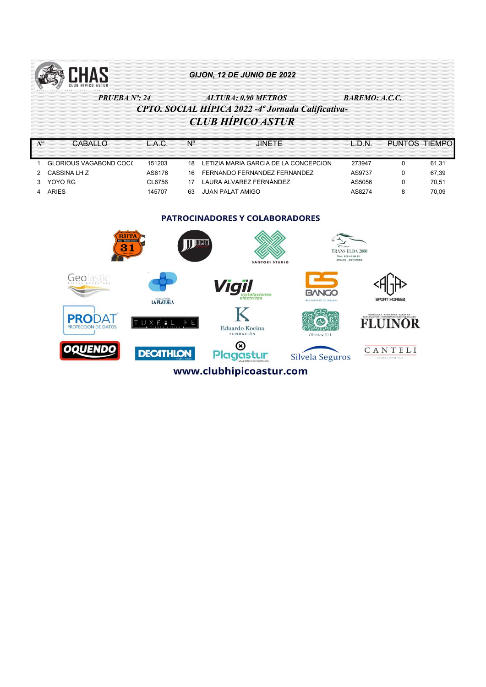

PRUEBA Nº: 24 ALTURA: 0,90 METROS BAREMO: A.C.C. CPTO. SOCIAL HÍPICA 2022 -4ª Jornada Calificativa-CLUB HÍPICO ASTUR

|                               |        |     |                                       | -N     | PUNTOS TIEMPO |       |
|-------------------------------|--------|-----|---------------------------------------|--------|---------------|-------|
| <b>GLORIOUS VAGABOND COC(</b> | 151203 | 18  | LETIZIA MARIA GARCIA DE LA CONCEPCION | 273947 |               | 61.31 |
| CASSINA LH Z                  | AS6176 | 16. | FERNANDO FERNANDEZ FERNANDEZ          | AS9737 |               | 67.39 |
| YOYO RG                       | CL6756 |     | LAURA ALVAREZ FERNÁNDEZ               | AS5056 |               | 70.51 |
| ARIFS                         | 145707 | 63  | JUAN PALAT AMIGO                      | AS8274 |               | 70.09 |
|                               |        |     |                                       |        |               |       |

#### **PATROCINADORES Y COLABORADORES**

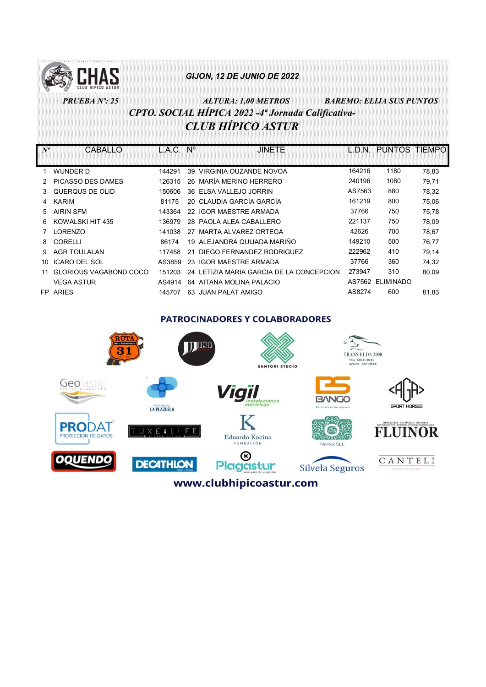

## PRUEBA Nº: 25 ALTURA: 1,00 METROS BAREMO: ELIJA SUS PUNTOS CPTO. SOCIAL HÍPICA 2022 -4ª Jornada Calificativa-CLUB HÍPICO ASTUR

| $N^o$ | CABALLO                | L.A.C. | $N^{\circ}$ | <b>JINETE</b>                            | I D.N. | PUNTOS TIEMPO    |       |
|-------|------------------------|--------|-------------|------------------------------------------|--------|------------------|-------|
|       |                        |        |             |                                          |        |                  |       |
|       | WUNDER D               | 144291 | 39          | VIRGINIA OUZANDE NOVOA                   | 164216 | 1180             | 78,83 |
|       | PICASSO DES DAMES      | 126315 |             | 26 MARÍA MERINO HERRERO                  | 240196 | 1080             | 79,71 |
| 3     | QUERQUS DE OLID        | 150606 | 36.         | ELSA VALLEJO JORRIN                      | AS7563 | 880              | 78,32 |
| 4     | <b>KARIM</b>           | 81175  |             | 20 CLAUDIA GARCÍA GARCÍA                 | 161219 | 800              | 75,06 |
| 5.    | <b>AIRIN SFM</b>       | 143364 | 22          | <b>IGOR MAESTRE ARMADA</b>               | 37766  | 750              | 75,78 |
| 6     | KOWALSKI HIT 435       | 136979 |             | 28 PAOLA ALEA CABALLERO                  | 221137 | 750              | 78,09 |
|       | <b>LORENZO</b>         | 141038 | 27          | MARTA ALVAREZ ORTEGA                     | 42626  | 700              | 78,67 |
| 8     | <b>CORELLI</b>         | 86174  |             | 19 ALEJANDRA QUIJADA MARIÑO              | 149210 | 500              | 76,77 |
| 9     | <b>AGR TOULALAN</b>    | 117458 | 21          | DIEGO FERNANDEZ RODRIGUEZ                | 222962 | 410              | 79,14 |
| 10    | <b>ICARO DEL SOL</b>   | AS3859 | 23          | IGOR MAESTRE ARMADA                      | 37766  | 360              | 74.32 |
|       | GLORIOUS VAGABOND COCO | 151203 |             | 24 LETIZIA MARIA GARCIA DE LA CONCEPCION | 273947 | 310              | 80,09 |
|       | <b>VEGA ASTUR</b>      | AS4914 |             | 64 AITANA MOLINA PALACIO                 | AS7562 | <b>ELIMINADO</b> |       |
|       | FP ARIES               | 145707 |             | 63 JUAN PALAT AMIGO                      | AS8274 | 600              | 81,83 |

#### **PATROCINADORES Y COLABORADORES**

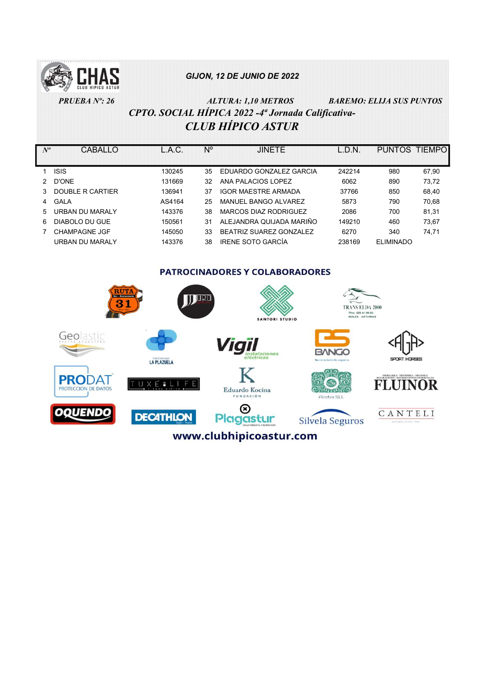

PRUEBA Nº: 26 ALTURA: 1,10 METROS BAREMO: ELIJA SUS PUNTOS CPTO. SOCIAL HÍPICA 2022 -4ª Jornada Calificativa-CLUB HÍPICO ASTUR

| $N^o$ | CABALLO              | L.A.C. | N° | <b>JINETE</b>              | L.D.N. | PUNTOS TIEMPO    |       |
|-------|----------------------|--------|----|----------------------------|--------|------------------|-------|
|       |                      |        |    |                            |        |                  |       |
|       | <b>ISIS</b>          | 130245 | 35 | EDUARDO GONZALEZ GARCIA    | 242214 | 980              | 67,90 |
|       | D'ONE                | 131669 | 32 | ANA PALACIOS LOPEZ         | 6062   | 890              | 73,72 |
| 3     | DOUBLE R CARTIER     | 136941 | 37 | <b>IGOR MAESTRE ARMADA</b> | 37766  | 850              | 68,40 |
| 4     | GALA                 | AS4164 | 25 | MANUEL BANGO ALVAREZ       | 5873   | 790              | 70.68 |
| 5.    | URBAN DU MARAI Y     | 143376 | 38 | MARCOS DIAZ RODRIGUEZ      | 2086   | 700              | 81.31 |
| 6.    | DIABOLO DU GUE       | 150561 | 31 | ALEJANDRA QUIJADA MARIÑO   | 149210 | 460              | 73.67 |
|       | <b>CHAMPAGNE JGF</b> | 145050 | 33 | BEATRIZ SUAREZ GONZALEZ    | 6270   | 340              | 74.71 |
|       | URBAN DU MARAI Y     | 143376 | 38 | <b>IRENE SOTO GARCÍA</b>   | 238169 | <b>ELIMINADO</b> |       |

PATROCINADORES Y COLABORADORES

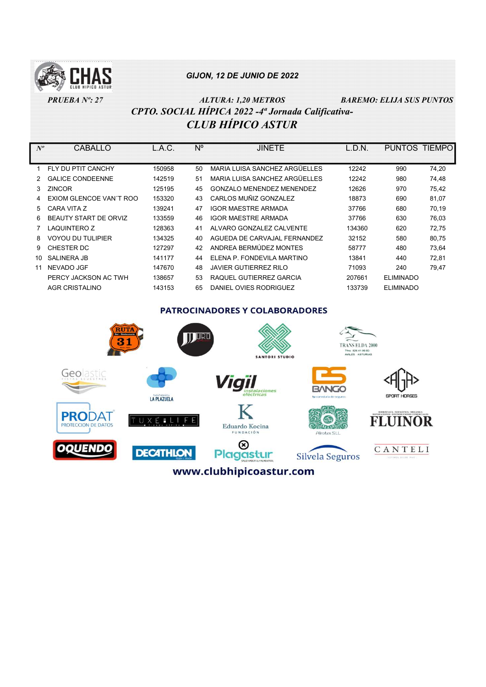

 PRUEBA Nº: 27 ALTURA: 1,20 METROS BAREMO: ELIJA SUS PUNTOS CPTO. SOCIAL HÍPICA 2022 -4ª Jornada Calificativa-CLUB HÍPICO ASTUR

Nº CABALLO L.A.C. Nº JINETE L.D.N. PUNTOS TIEMPO 1 FLY DU PTIT CANCHY 150958 50 MARIA LUISA SANCHEZ ARGÜELLES 12242 990 74,20 2 GALICE CONDEENNE 142519 51 MARIA LUISA SANCHEZ ARGÜELLES 12242 980 74.48 3 ZINCOR 125195 45 GONZALO MENENDEZ MENENDEZ 12626 970 75,42 4 EXIOM GLENCOE VAN´T ROO 153320 43 CARLOS MUÑIZ GONZALEZ 18873 690 81,07 5 CARA VITA Z 139241 47 IGOR MAESTRE ARMADA 37766 680 70,19 6 BEAUTY START DE ORVIZ 133559 46 IGOR MAESTRE ARMADA 37766 630 76,03 7 LAQUINTERO Z 128363 41 ALVARO GONZALEZ CALVENTE 134360 620 72,75 8 VOYOU DU TULIPIER 134325 40 AGUEDA DE CARVAJAL FERNANDEZ 32152 580 80,75 9 CHESTER DC 127297 42 ANDREA BERMÚDEZ MONTES 58777 480 73,64 10 SALINERA JB 141177 44 ELENA P. FONDEVILA MARTINO 13841 440 72,81 11 NEVADO JGF 147670 48 JAVIER GUTIERREZ RILO 71093 240 79,47 PERCY JACKSON AC TWH 138657 53 RAQUEL GUTIERREZ GARCIA 207661 ELIMINADO AGR CRISTALINO 143153 65 DANIEL OVIES RODRIGUEZ 133739 ELIMINADO

**PATROCINADORES Y COLABORADORES**